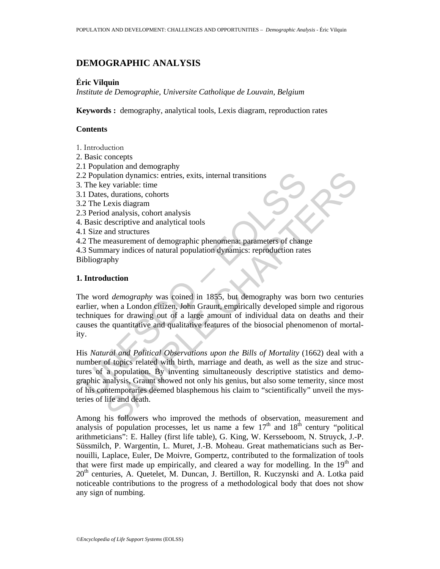# **DEMOGRAPHIC ANALYSIS**

## **Éric Vilquin**

*Institute de Demographie, Universite Catholique de Louvain, Belgium* 

**Keywords :** demography, analytical tools, Lexis diagram, reproduction rates

## **Contents**

- 1. Introduction
- 2. Basic concepts
- 2.1 Population and demography
- 2.2 Population dynamics: entries, exits, internal transitions
- 3. The key variable: time
- 3.1 Dates, durations, cohorts
- 3.2 The Lexis diagram
- 2.3 Period analysis, cohort analysis
- 4. Basic descriptive and analytical tools
- 4.1 Size and structures
- 4.2 The measurement of demographic phenomena: parameters of change 4.3 Summary indices of natural population dynamics: reproduction rates
- Bibliography

## **1. Introduction**

The word *demography* was coined in 1855, but demography was born two centuries earlier, when a London citizen, John Graunt, empirically developed simple and rigorous techniques for drawing out of a large amount of individual data on deaths and their causes the quantitative and qualitative features of the biosocial phenomenon of mortality.

2 Population dynamics: entries, exits, internal transitions<br>
2. The key variable: time<br>
1. Dates, durations, cohorts<br>
2. The Lexis diagram<br>
3. Period analysis, cohort analysis<br>
2. The measurement of demographic phenomena: lation dynamics: entries, exits, internal transitions<br>
s, durations, cohorts<br>
s, durations, cohorts<br>
s, durations, cohorts<br>
c.v.is diagram<br>
d analysis, cohort analysis<br>
danalysis, cohort analysis<br>
and structures<br>
and struc His *Natural and Political Observations upon the Bills of Mortality* (1662) deal with a number of topics related with birth, marriage and death, as well as the size and structures of a population. By inventing simultaneously descriptive statistics and demographic analysis, Graunt showed not only his genius, but also some temerity, since most of his contemporaries deemed blasphemous his claim to "scientifically" unveil the mysteries of life and death.

Among his followers who improved the methods of observation, measurement and analysis of population processes, let us name a few  $17<sup>th</sup>$  and  $18<sup>th</sup>$  century "political arithmeticians": E. Halley (first life table), G. King, W. Kersseboom, N. Struyck, J.-P. Süssmilch, P. Wargentin, L. Muret, J.-B. Moheau. Great mathematicians such as Bernouilli, Laplace, Euler, De Moivre, Gompertz, contributed to the formalization of tools that were first made up empirically, and cleared a way for modelling. In the  $19<sup>th</sup>$  and  $20<sup>th</sup>$  centuries, A. Quetelet, M. Duncan, J. Bertillon, R. Kuczynski and A. Lotka paid noticeable contributions to the progress of a methodological body that does not show any sign of numbing.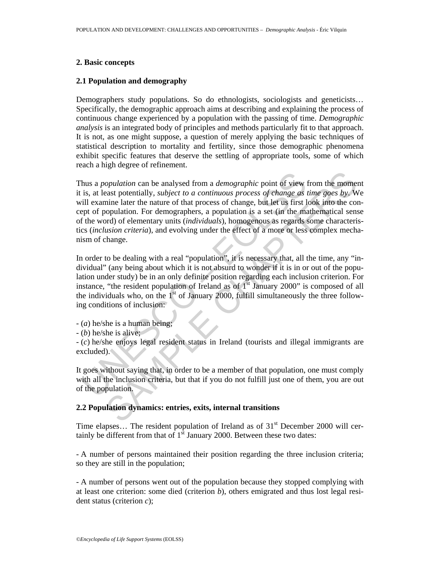## **2. Basic concepts**

## **2.1 Population and demography**

Demographers study populations. So do ethnologists, sociologists and geneticists... Specifically, the demographic approach aims at describing and explaining the process of continuous change experienced by a population with the passing of time. *Demographic analysis* is an integrated body of principles and methods particularly fit to that approach. It is not, as one might suppose, a question of merely applying the basic techniques of statistical description to mortality and fertility, since those demographic phenomena exhibit specific features that deserve the settling of appropriate tools, some of which reach a high degree of refinement.

hus a *population* can be analysed from a *demographic* point of view<br>is, at least potentially, *subject to a continuous process of change as*<br>iill examine later the nature of that process of change, but let us first l<br>ep opulation can be analysed from a *demographic* point of view from the moment potentially, *subject to a continuous process of change as time goes by.* We similar later the nature of that process of change, but let us firs Thus a *population* can be analysed from a *demographic* point of view from the moment it is, at least potentially, *subject to a continuous process of change as time goes by*. We will examine later the nature of that process of change, but let us first look into the concept of population. For demographers, a population is a set (in the mathematical sense of the word) of elementary units (*individuals*), homogenous as regards some characteristics (*inclusion criteria*), and evolving under the effect of a more or less complex mechanism of change.

In order to be dealing with a real "population", it is necessary that, all the time, any "individual" (any being about which it is not absurd to wonder if it is in or out of the population under study) be in an only definite position regarding each inclusion criterion. For instance, "the resident population of Ireland as of  $1<sup>st</sup>$  January 2000" is composed of all the individuals who, on the  $1<sup>st</sup>$  of January 2000, fulfill simultaneously the three following conditions of inclusion:

- (*a*) he/she is a human being;

- (*b*) he/she is alive;

- (*c*) he/she enjoys legal resident status in Ireland (tourists and illegal immigrants are excluded).

It goes without saying that, in order to be a member of that population, one must comply with all the inclusion criteria, but that if you do not fulfill just one of them, you are out of the population.

## **2.2 Population dynamics: entries, exits, internal transitions**

Time elapses... The resident population of Ireland as of  $31<sup>st</sup>$  December 2000 will certainly be different from that of  $1<sup>st</sup>$  January 2000. Between these two dates:

- A number of persons maintained their position regarding the three inclusion criteria; so they are still in the population;

- A number of persons went out of the population because they stopped complying with at least one criterion: some died (criterion *b*), others emigrated and thus lost legal resident status (criterion *c*);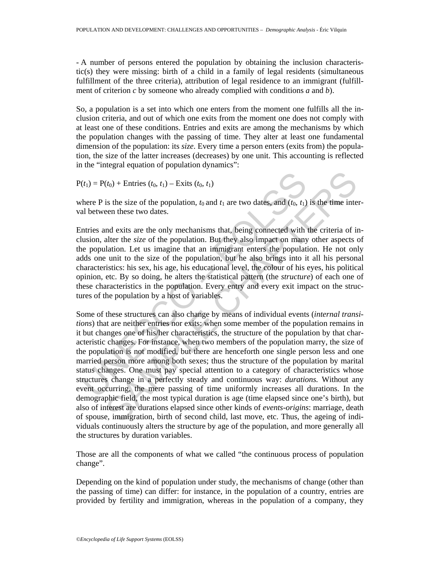- A number of persons entered the population by obtaining the inclusion characteristic(s) they were missing: birth of a child in a family of legal residents (simultaneous fulfillment of the three criteria), attribution of legal residence to an immigrant (fulfillment of criterion *c* by someone who already complied with conditions *a* and *b*).

So, a population is a set into which one enters from the moment one fulfills all the inclusion criteria, and out of which one exits from the moment one does not comply with at least one of these conditions. Entries and exits are among the mechanisms by which the population changes with the passing of time. They alter at least one fundamental dimension of the population: its *size*. Every time a person enters (exits from) the population, the size of the latter increases (decreases) by one unit. This accounting is reflected in the "integral equation of population dynamics":

 $P(t_1) = P(t_0) +$  Entries  $(t_0, t_1) -$  Exits  $(t_0, t_1)$ 

where P is the size of the population,  $t_0$  and  $t_1$  are two dates, and  $(t_0, t_1)$  is the time interval between these two dates.

Entries and exits are the only mechanisms that, being connected with the criteria of inclusion, alter the *size* of the population. But they also impact on many other aspects of the population. Let us imagine that an immigrant enters the population. He not only adds one unit to the size of the population, but he also brings into it all his personal characteristics: his sex, his age, his educational level, the colour of his eyes, his political opinion, etc. By so doing, he alters the statistical pattern (the *structure*) of each one of these characteristics in the population. Every entry and every exit impact on the structures of the population by a host of variables.

 $(t_1) = P(t_0) +$  Entries  $(t_0, t_1) -$  Exits  $(t_0, t_1)$ <br>
there P is the size of the population,  $t_0$  and  $t_1$  are two dates, and  $(t_0, t_1)$ <br>
all between these two dates.<br>
Intries and exits are the only mechanisms that, being  $(t_0)$  + Entrics  $(t_0, t_1)$  – Exits  $(t_0, t_1)$ <br>
is the size of the population,  $t_0$  and  $t_1$  are two dates, and  $(t_0, t_1)$  is the time inte<br>
een these two dates.<br>
and exits are the only mechanisms that, being connected Some of these structures can also change by means of individual events (*internal transitions*) that are neither entries nor exits: when some member of the population remains in it but changes one of his/her characteristics, the structure of the population by that characteristic changes. For instance, when two members of the population marry, the size of the population is not modified, but there are henceforth one single person less and one married person more among both sexes; thus the structure of the population by marital status changes. One must pay special attention to a category of characteristics whose structures change in a perfectly steady and continuous way: *durations.* Without any event occurring, the mere passing of time uniformly increases all durations. In the demographic field, the most typical duration is age (time elapsed since one's birth), but also of interest are durations elapsed since other kinds of *events-origins*: marriage, death of spouse, immigration, birth of second child, last move, etc. Thus, the ageing of individuals continuously alters the structure by age of the population, and more generally all the structures by duration variables.

Those are all the components of what we called "the continuous process of population change".

Depending on the kind of population under study, the mechanisms of change (other than the passing of time) can differ: for instance, in the population of a country, entries are provided by fertility and immigration, whereas in the population of a company, they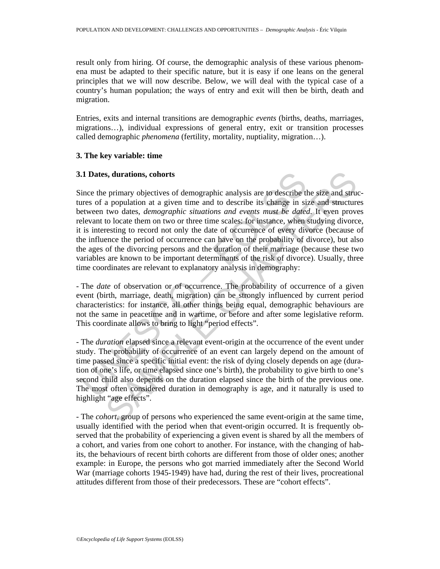result only from hiring. Of course, the demographic analysis of these various phenomena must be adapted to their specific nature, but it is easy if one leans on the general principles that we will now describe. Below, we will deal with the typical case of a country's human population; the ways of entry and exit will then be birth, death and migration.

Entries, exits and internal transitions are demographic *events* (births, deaths, marriages, migrations…), individual expressions of general entry, exit or transition processes called demographic *phenomena* (fertility, mortality, nuptiality, migration…).

## **3. The key variable: time**

## **3.1 Dates, durations, cohorts**

**1 Dates, durations, cohorts**<br>ince the primary objectives of demographic analysis are to describe the<br>res of a population at a given time and to describe its change in sit<br>etween two dates, *demographic situations and eve* s, durations, cohorts<br>s primary objectives of demographic analysis are to describe the size and structure<br>two dates, *demographic situations and events must be dated.* It ween prove<br>to locate them on two or three time scal Since the primary objectives of demographic analysis are to describe the size and structures of a population at a given time and to describe its change in size and structures between two dates, *demographic situations and events must be dated*. It even proves relevant to locate them on two or three time scales: for instance, when studying divorce, it is interesting to record not only the date of occurrence of every divorce (because of the influence the period of occurrence can have on the probability of divorce), but also the ages of the divorcing persons and the duration of their marriage (because these two variables are known to be important determinants of the risk of divorce). Usually, three time coordinates are relevant to explanatory analysis in demography:

- The *date* of observation or of occurrence. The probability of occurrence of a given event (birth, marriage, death, migration) can be strongly influenced by current period characteristics: for instance, all other things being equal, demographic behaviours are not the same in peacetime and in wartime, or before and after some legislative reform. This coordinate allows to bring to light "period effects".

- The *duration* elapsed since a relevant event-origin at the occurrence of the event under study. The probability of occurrence of an event can largely depend on the amount of time passed since a specific initial event: the risk of dying closely depends on age (duration of one's life, or time elapsed since one's birth), the probability to give birth to one's second child also depends on the duration elapsed since the birth of the previous one. The most often considered duration in demography is age, and it naturally is used to highlight "age effects".

- The *cohort*, group of persons who experienced the same event-origin at the same time, usually identified with the period when that event-origin occurred. It is frequently observed that the probability of experiencing a given event is shared by all the members of a cohort, and varies from one cohort to another. For instance, with the changing of habits, the behaviours of recent birth cohorts are different from those of older ones; another example: in Europe, the persons who got married immediately after the Second World War (marriage cohorts 1945-1949) have had, during the rest of their lives, procreational attitudes different from those of their predecessors. These are "cohort effects".